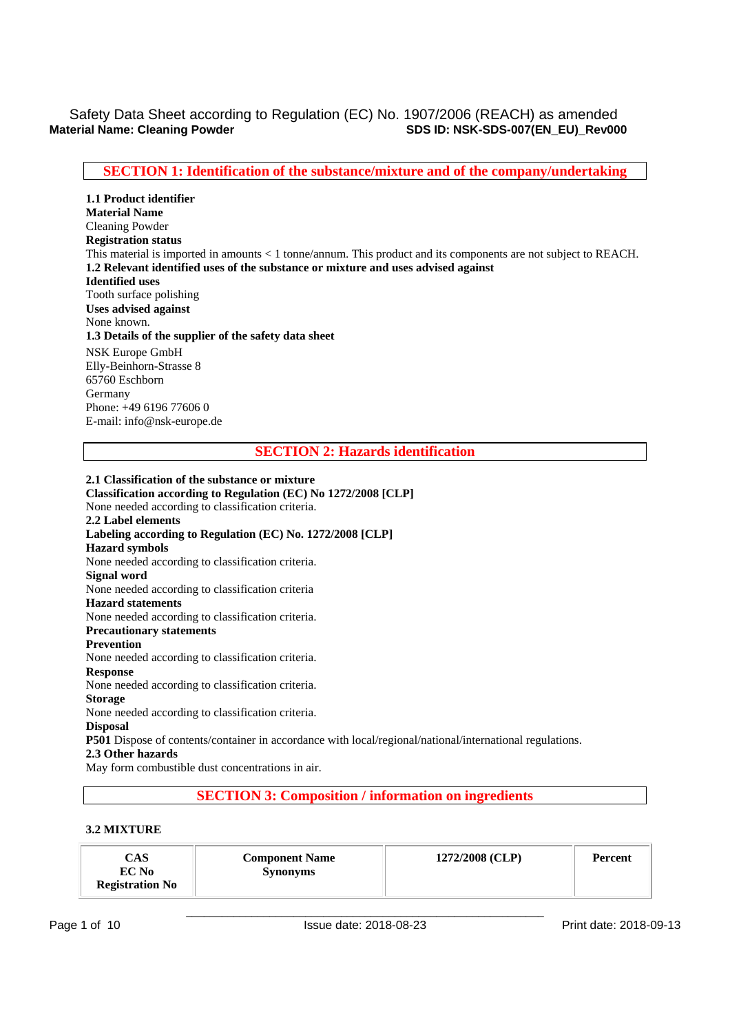# **SECTION 1: Identification of the substance/mixture and of the company/undertaking**

**1.1 Product identifier Material Name**  Cleaning Powder **Registration status**  This material is imported in amounts < 1 tonne/annum. This product and its components are not subject to REACH. **1.2 Relevant identified uses of the substance or mixture and uses advised against Identified uses**  Tooth surface polishing **Uses advised against**  None known. **1.3 Details of the supplier of the safety data sheet**  NSK Europe GmbH Elly-Beinhorn-Strasse 8 65760 Eschborn Germany Phone: +49 6196 77606 0 E-mail: info@nsk-europe.de

## **SECTION 2: Hazards identification**

**2.1 Classification of the substance or mixture Classification according to Regulation (EC) No 1272/2008 [CLP]**  None needed according to classification criteria. **2.2 Label elements Labeling according to Regulation (EC) No. 1272/2008 [CLP] Hazard symbols**  None needed according to classification criteria. **Signal word**  None needed according to classification criteria **Hazard statements**  None needed according to classification criteria. **Precautionary statements Prevention**  None needed according to classification criteria. **Response**  None needed according to classification criteria. **Storage**  None needed according to classification criteria. **Disposal P501** Dispose of contents/container in accordance with local/regional/national/international regulations. **2.3 Other hazards**  May form combustible dust concentrations in air.

# **SECTION 3: Composition / information on ingredients**

### **3.2 MIXTURE**

| CAS<br><b>Component Name</b><br>EC No<br><b>Synonyms</b><br><b>Registration No</b> | 1272/2008 (CLP) | Percent |
|------------------------------------------------------------------------------------|-----------------|---------|
|------------------------------------------------------------------------------------|-----------------|---------|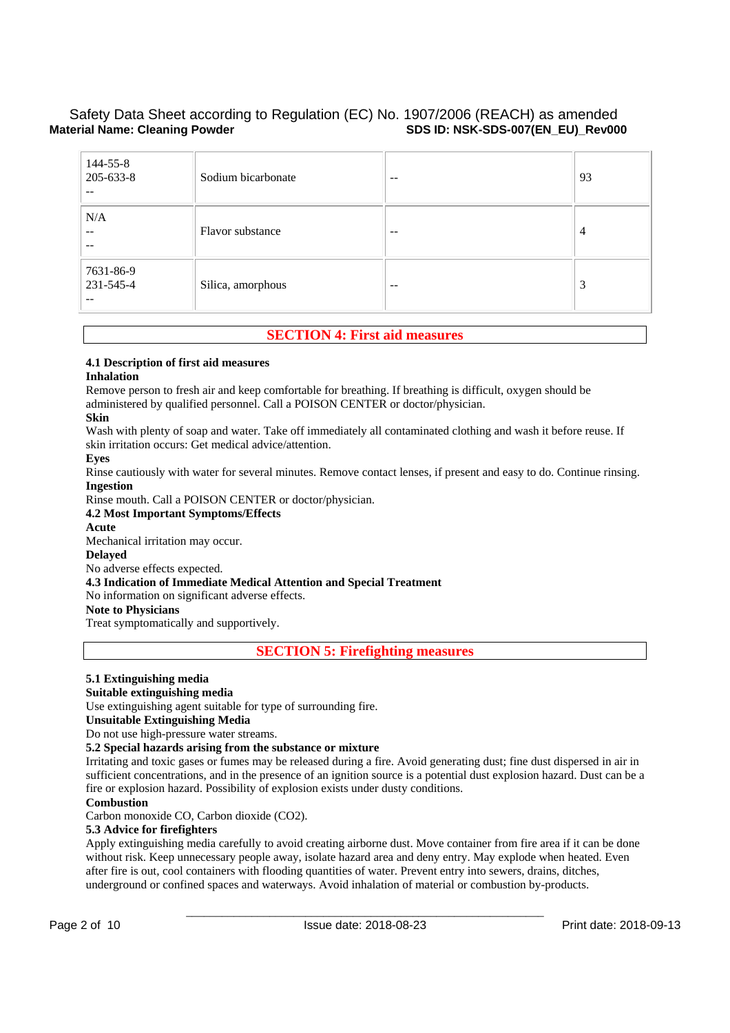| 144-55-8<br>205-633-8<br>$- -$ | Sodium bicarbonate | $-$   | 93             |
|--------------------------------|--------------------|-------|----------------|
| N/A<br>$- -$<br>$- -$          | Flavor substance   | $- -$ | $\overline{4}$ |
| 7631-86-9<br>231-545-4<br>--   | Silica, amorphous  | $- -$ | 3              |

# **SECTION 4: First aid measures**

### **4.1 Description of first aid measures**

### **Inhalation**

Remove person to fresh air and keep comfortable for breathing. If breathing is difficult, oxygen should be administered by qualified personnel. Call a POISON CENTER or doctor/physician.

### **Skin**

Wash with plenty of soap and water. Take off immediately all contaminated clothing and wash it before reuse. If skin irritation occurs: Get medical advice/attention.

### **Eyes**

Rinse cautiously with water for several minutes. Remove contact lenses, if present and easy to do. Continue rinsing. **Ingestion** 

Rinse mouth. Call a POISON CENTER or doctor/physician.

### **4.2 Most Important Symptoms/Effects**

**Acute** 

Mechanical irritation may occur.

## **Delayed**

No adverse effects expected.

### **4.3 Indication of Immediate Medical Attention and Special Treatment**

No information on significant adverse effects.

### **Note to Physicians**

Treat symptomatically and supportively.

**SECTION 5: Firefighting measures** 

### **5.1 Extinguishing media**

### **Suitable extinguishing media**

Use extinguishing agent suitable for type of surrounding fire.

### **Unsuitable Extinguishing Media**

Do not use high-pressure water streams.

### **5.2 Special hazards arising from the substance or mixture**

Irritating and toxic gases or fumes may be released during a fire. Avoid generating dust; fine dust dispersed in air in sufficient concentrations, and in the presence of an ignition source is a potential dust explosion hazard. Dust can be a fire or explosion hazard. Possibility of explosion exists under dusty conditions.

### **Combustion**

Carbon monoxide CO, Carbon dioxide (CO2).

## **5.3 Advice for firefighters**

Apply extinguishing media carefully to avoid creating airborne dust. Move container from fire area if it can be done without risk. Keep unnecessary people away, isolate hazard area and deny entry. May explode when heated. Even after fire is out, cool containers with flooding quantities of water. Prevent entry into sewers, drains, ditches, underground or confined spaces and waterways. Avoid inhalation of material or combustion by-products.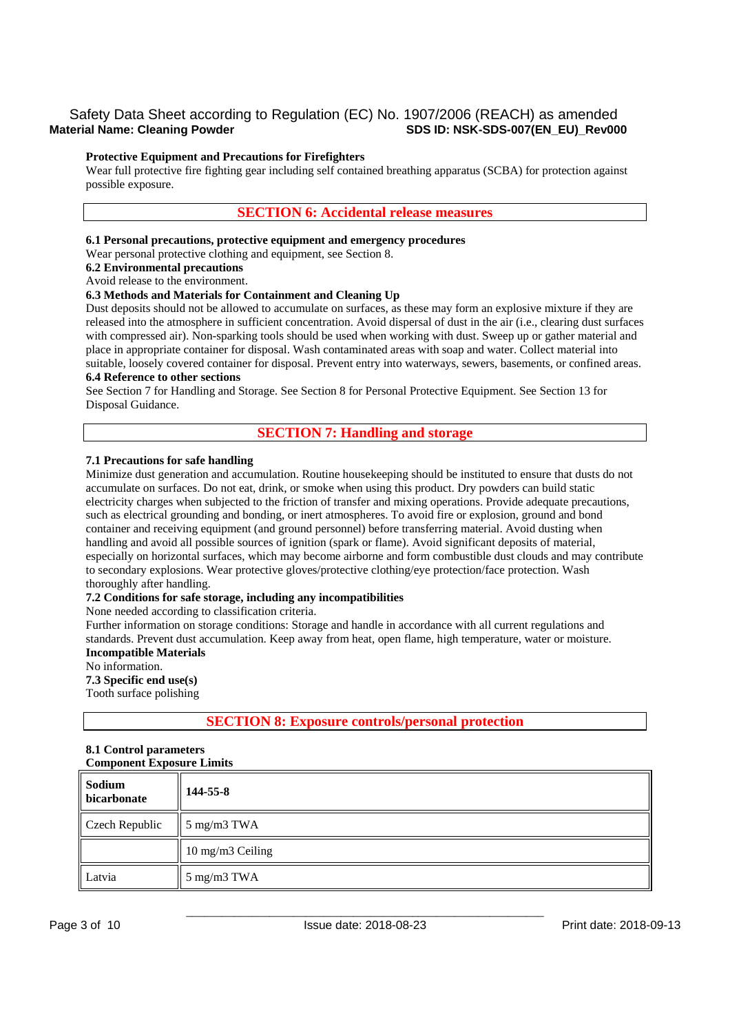### **Protective Equipment and Precautions for Firefighters**

Wear full protective fire fighting gear including self contained breathing apparatus (SCBA) for protection against possible exposure.

### **SECTION 6: Accidental release measures**

### **6.1 Personal precautions, protective equipment and emergency procedures**

Wear personal protective clothing and equipment, see Section 8.

### **6.2 Environmental precautions**

Avoid release to the environment.

### **6.3 Methods and Materials for Containment and Cleaning Up**

Dust deposits should not be allowed to accumulate on surfaces, as these may form an explosive mixture if they are released into the atmosphere in sufficient concentration. Avoid dispersal of dust in the air (i.e., clearing dust surfaces with compressed air). Non-sparking tools should be used when working with dust. Sweep up or gather material and place in appropriate container for disposal. Wash contaminated areas with soap and water. Collect material into suitable, loosely covered container for disposal. Prevent entry into waterways, sewers, basements, or confined areas.

## **6.4 Reference to other sections**

See Section 7 for Handling and Storage. See Section 8 for Personal Protective Equipment. See Section 13 for Disposal Guidance.

### **SECTION 7: Handling and storage**

### **7.1 Precautions for safe handling**

Minimize dust generation and accumulation. Routine housekeeping should be instituted to ensure that dusts do not accumulate on surfaces. Do not eat, drink, or smoke when using this product. Dry powders can build static electricity charges when subjected to the friction of transfer and mixing operations. Provide adequate precautions, such as electrical grounding and bonding, or inert atmospheres. To avoid fire or explosion, ground and bond container and receiving equipment (and ground personnel) before transferring material. Avoid dusting when handling and avoid all possible sources of ignition (spark or flame). Avoid significant deposits of material, especially on horizontal surfaces, which may become airborne and form combustible dust clouds and may contribute to secondary explosions. Wear protective gloves/protective clothing/eye protection/face protection. Wash thoroughly after handling.

### **7.2 Conditions for safe storage, including any incompatibilities**

None needed according to classification criteria.

Further information on storage conditions: Storage and handle in accordance with all current regulations and standards. Prevent dust accumulation. Keep away from heat, open flame, high temperature, water or moisture. **Incompatible Materials** 

### No information.

**7.3 Specific end use(s)** 

Tooth surface polishing

### **SECTION 8: Exposure controls/personal protection**

#### **8.1 Control parameters Component Exposure Limits**

| Sodium<br><b>bicarbonate</b> | 144-55-8         |
|------------------------------|------------------|
| Czech Republic               | 5 mg/m3 TWA      |
|                              | 10 mg/m3 Ceiling |
| Latvia                       | 5 mg/m3 TWA      |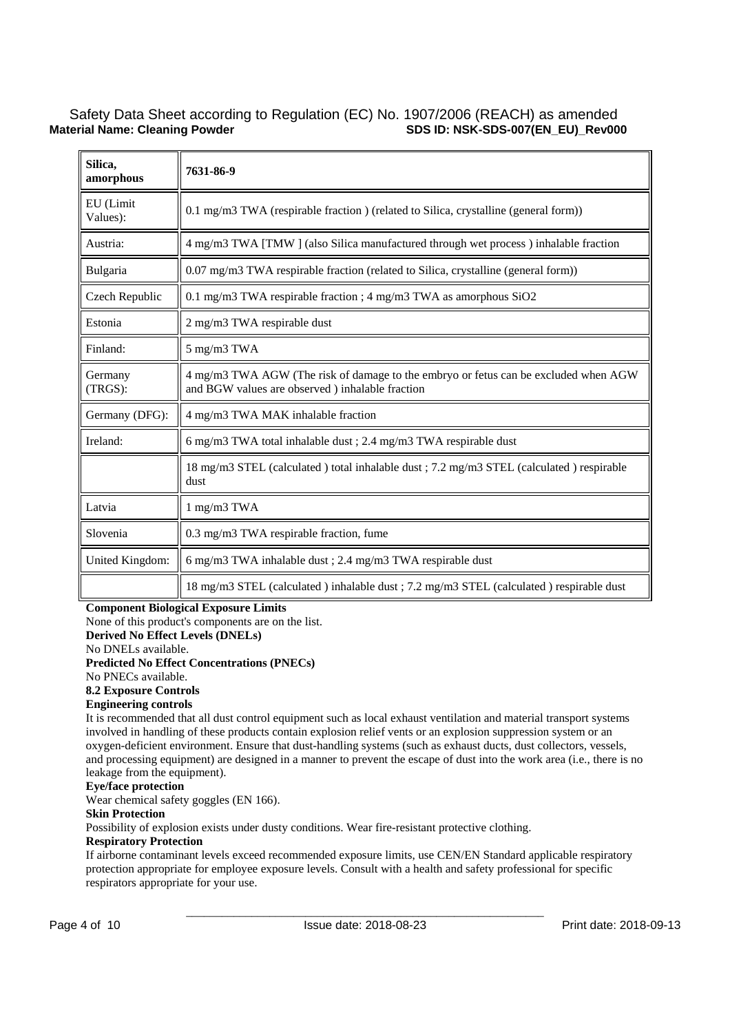| Silica,<br>amorphous  | 7631-86-9                                                                                                                               |
|-----------------------|-----------------------------------------------------------------------------------------------------------------------------------------|
| EU (Limit<br>Values): | 0.1 mg/m3 TWA (respirable fraction) (related to Silica, crystalline (general form))                                                     |
| Austria:              | 4 mg/m3 TWA [TMW] (also Silica manufactured through wet process) inhalable fraction                                                     |
| Bulgaria              | 0.07 mg/m3 TWA respirable fraction (related to Silica, crystalline (general form))                                                      |
| Czech Republic        | 0.1 mg/m3 TWA respirable fraction ; 4 mg/m3 TWA as amorphous SiO2                                                                       |
| Estonia               | 2 mg/m3 TWA respirable dust                                                                                                             |
| Finland:              | 5 mg/m3 TWA                                                                                                                             |
| Germany<br>$(TRGS)$ : | 4 mg/m3 TWA AGW (The risk of damage to the embryo or fetus can be excluded when AGW<br>and BGW values are observed ) inhalable fraction |
| Germany (DFG):        | 4 mg/m3 TWA MAK inhalable fraction                                                                                                      |
| Ireland:              | 6 mg/m3 TWA total inhalable dust ; 2.4 mg/m3 TWA respirable dust                                                                        |
|                       | 18 mg/m3 STEL (calculated) total inhalable dust; 7.2 mg/m3 STEL (calculated) respirable<br>dust                                         |
| Latvia                | 1 mg/m3 TWA                                                                                                                             |
| Slovenia              | 0.3 mg/m3 TWA respirable fraction, fume                                                                                                 |
| United Kingdom:       | 6 mg/m3 TWA inhalable dust ; 2.4 mg/m3 TWA respirable dust                                                                              |
|                       | 18 mg/m3 STEL (calculated) inhalable dust; 7.2 mg/m3 STEL (calculated) respirable dust                                                  |

### **Component Biological Exposure Limits**

None of this product's components are on the list.

**Derived No Effect Levels (DNELs)** 

No DNELs available.

**Predicted No Effect Concentrations (PNECs)** 

No PNECs available.

# **8.2 Exposure Controls**

# **Engineering controls**

It is recommended that all dust control equipment such as local exhaust ventilation and material transport systems involved in handling of these products contain explosion relief vents or an explosion suppression system or an oxygen-deficient environment. Ensure that dust-handling systems (such as exhaust ducts, dust collectors, vessels, and processing equipment) are designed in a manner to prevent the escape of dust into the work area (i.e., there is no leakage from the equipment).

### **Eye/face protection**

Wear chemical safety goggles (EN 166).

## **Skin Protection**

Possibility of explosion exists under dusty conditions. Wear fire-resistant protective clothing.

### **Respiratory Protection**

If airborne contaminant levels exceed recommended exposure limits, use CEN/EN Standard applicable respiratory protection appropriate for employee exposure levels. Consult with a health and safety professional for specific respirators appropriate for your use.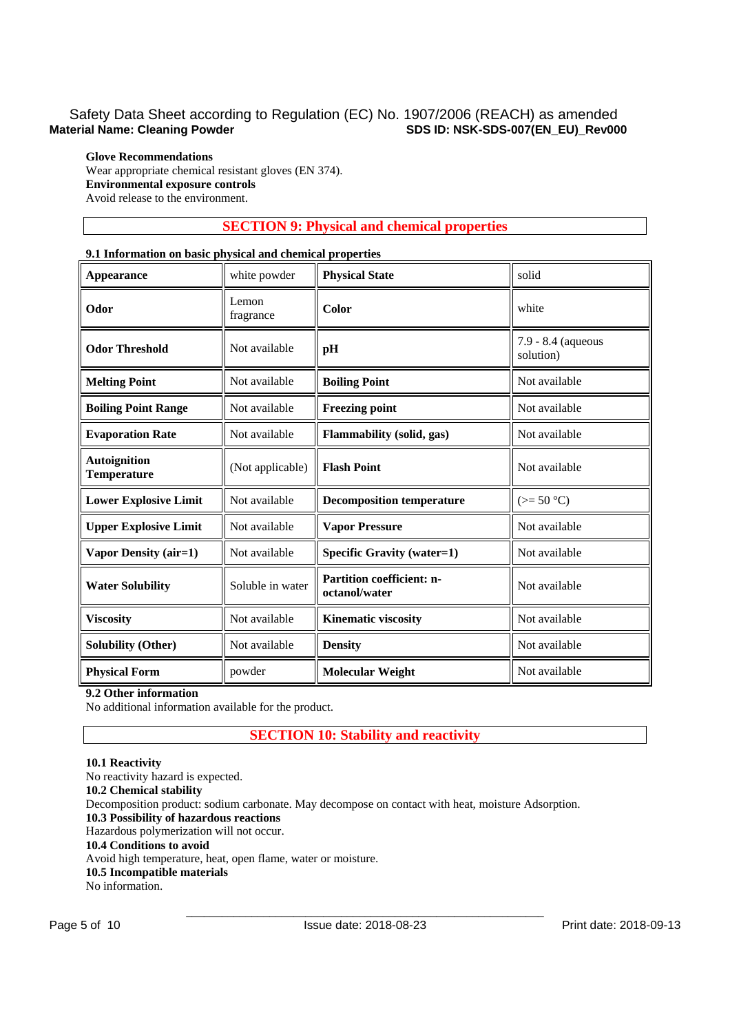# **Glove Recommendations**

Wear appropriate chemical resistant gloves (EN 374). **Environmental exposure controls**  Avoid release to the environment.

# **SECTION 9: Physical and chemical properties**

### **9.1 Information on basic physical and chemical properties**

| <b>Appearance</b>                         | white powder       | <b>Physical State</b>                      | solid                           |  |  |
|-------------------------------------------|--------------------|--------------------------------------------|---------------------------------|--|--|
| Odor                                      | Lemon<br>fragrance | Color                                      | white                           |  |  |
| <b>Odor Threshold</b><br>Not available    |                    | pH                                         | 7.9 - 8.4 (aqueous<br>solution) |  |  |
| <b>Melting Point</b>                      | Not available      | <b>Boiling Point</b>                       | Not available                   |  |  |
| <b>Boiling Point Range</b>                | Not available      | <b>Freezing point</b>                      | Not available                   |  |  |
| <b>Evaporation Rate</b>                   | Not available      | Flammability (solid, gas)                  | Not available                   |  |  |
| <b>Autoignition</b><br><b>Temperature</b> | (Not applicable)   | <b>Flash Point</b>                         | Not available                   |  |  |
| <b>Lower Explosive Limit</b>              | Not available      | <b>Decomposition temperature</b>           | $(>= 50 °C)$                    |  |  |
| <b>Upper Explosive Limit</b>              | Not available      | <b>Vapor Pressure</b>                      | Not available                   |  |  |
| Vapor Density (air=1)                     | Not available      | <b>Specific Gravity (water=1)</b>          | Not available                   |  |  |
| <b>Water Solubility</b>                   | Soluble in water   | Partition coefficient: n-<br>octanol/water | Not available                   |  |  |
| <b>Viscosity</b>                          | Not available      | <b>Kinematic viscosity</b>                 | Not available                   |  |  |
| <b>Solubility (Other)</b>                 | Not available      | <b>Density</b>                             | Not available                   |  |  |
| <b>Physical Form</b>                      | powder             | <b>Molecular Weight</b>                    | Not available                   |  |  |

## **9.2 Other information**

No additional information available for the product.

# **SECTION 10: Stability and reactivity**

### **10.1 Reactivity**

No reactivity hazard is expected. **10.2 Chemical stability**  Decomposition product: sodium carbonate. May decompose on contact with heat, moisture Adsorption. **10.3 Possibility of hazardous reactions**  Hazardous polymerization will not occur. **10.4 Conditions to avoid**  Avoid high temperature, heat, open flame, water or moisture. **10.5 Incompatible materials**  No information.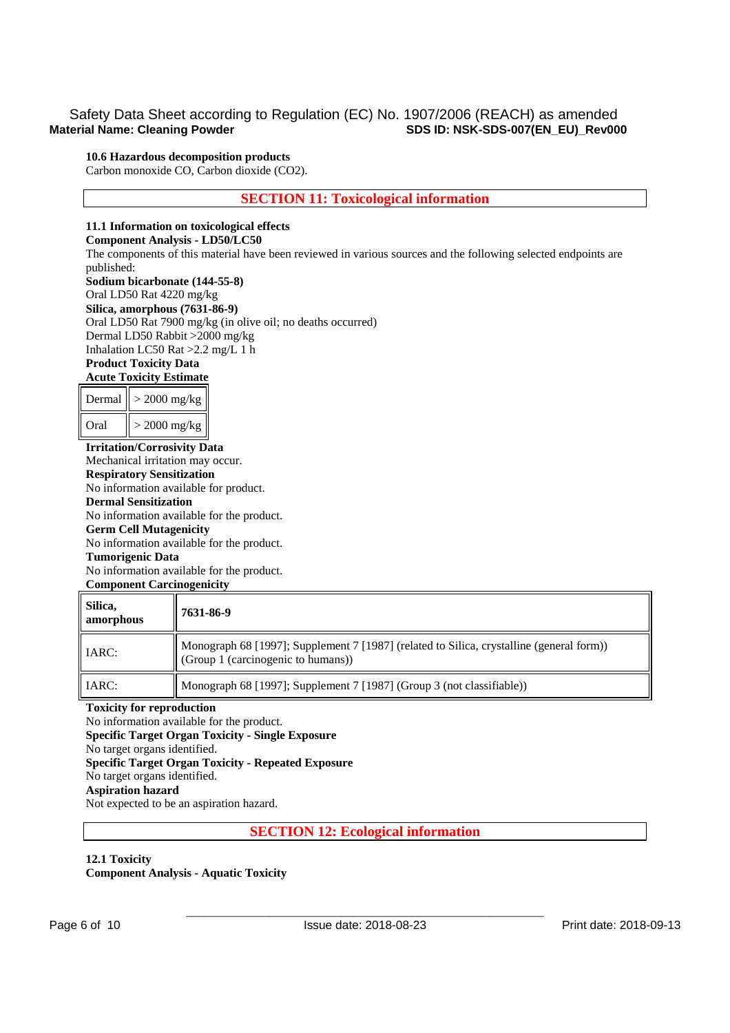### **10.6 Hazardous decomposition products**

Carbon monoxide CO, Carbon dioxide (CO2).

## **SECTION 11: Toxicological information**

### **11.1 Information on toxicological effects**

## **Component Analysis - LD50/LC50**

The components of this material have been reviewed in various sources and the following selected endpoints are published:

### **Sodium bicarbonate (144-55-8)**

Oral LD50 Rat 4220 mg/kg **Silica, amorphous (7631-86-9)** Oral LD50 Rat 7900 mg/kg (in olive oil; no deaths occurred) Dermal LD50 Rabbit >2000 mg/kg Inhalation LC50 Rat >2.2 mg/L 1 h **Product Toxicity Data** 

# **Acute Toxicity Estimate**

|      | Dermal $\vert\vert > 2000$ mg/kg $\vert$ |
|------|------------------------------------------|
| Oral | $>$ 2000 mg/kg                           |

**Irritation/Corrosivity Data**  Mechanical irritation may occur. **Respiratory Sensitization**  No information available for product. **Dermal Sensitization**  No information available for the product. **Germ Cell Mutagenicity**  No information available for the product. **Tumorigenic Data**  No information available for the product. **Component Carcinogenicity** 

| Silica,<br>amorphous | 7631-86-9                                                                                                                      |
|----------------------|--------------------------------------------------------------------------------------------------------------------------------|
| <b>IARC:</b>         | Monograph 68 [1997]; Supplement 7 [1987] (related to Silica, crystalline (general form))<br>(Group 1 (carcinogenic to humans)) |
| <b>IARC:</b>         | Monograph 68 [1997]; Supplement 7 [1987] (Group 3 (not classifiable))                                                          |

### **Toxicity for reproduction**

No information available for the product. **Specific Target Organ Toxicity - Single Exposure**  No target organs identified. **Specific Target Organ Toxicity - Repeated Exposure**  No target organs identified. **Aspiration hazard**  Not expected to be an aspiration hazard.

### **SECTION 12: Ecological information**

### **12.1 Toxicity Component Analysis - Aquatic Toxicity**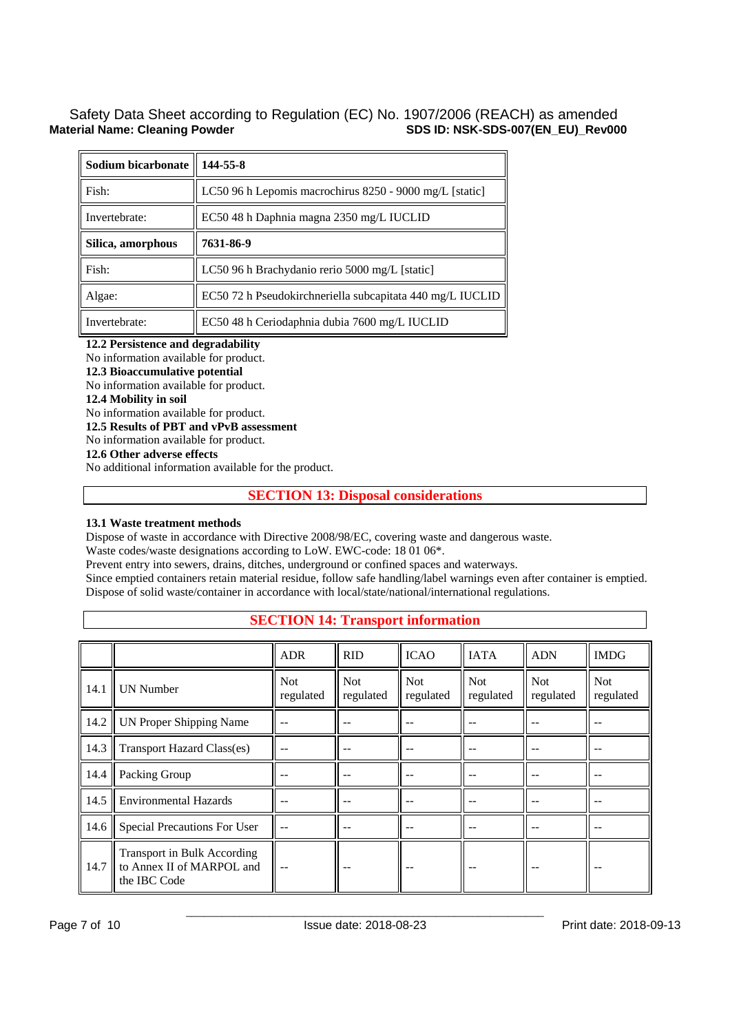| Sodium bicarbonate | 144-55-8                                                  |
|--------------------|-----------------------------------------------------------|
| Fish:              | LC50 96 h Lepomis macrochirus 8250 - 9000 mg/L [static]   |
| Invertebrate:      | EC50 48 h Daphnia magna 2350 mg/L IUCLID                  |
| Silica, amorphous  | 7631-86-9                                                 |
| Fish:              | LC50 96 h Brachydanio rerio 5000 mg/L [static]            |
| Algae:             | EC50 72 h Pseudokirchneriella subcapitata 440 mg/L IUCLID |
| Invertebrate:      | EC50 48 h Ceriodaphnia dubia 7600 mg/L IUCLID             |

**12.2 Persistence and degradability** 

No information available for product.

**12.3 Bioaccumulative potential** 

No information available for product.

### **12.4 Mobility in soil**

No information available for product.

**12.5 Results of PBT and vPvB assessment** 

No information available for product.

**12.6 Other adverse effects** 

No additional information available for the product.

# **SECTION 13: Disposal considerations**

## **13.1 Waste treatment methods**

Dispose of waste in accordance with Directive 2008/98/EC, covering waste and dangerous waste.

Waste codes/waste designations according to LoW. EWC-code: 18 01 06\*.

Prevent entry into sewers, drains, ditches, underground or confined spaces and waterways.

Since emptied containers retain material residue, follow safe handling/label warnings even after container is emptied. Dispose of solid waste/container in accordance with local/state/national/international regulations.

|      |                                                                          | <b>ADR</b>              | <b>RID</b>              | <b>ICAO</b>             | <b>IATA</b>             | <b>ADN</b>              | <b>IMDG</b>             |
|------|--------------------------------------------------------------------------|-------------------------|-------------------------|-------------------------|-------------------------|-------------------------|-------------------------|
| 14.1 | <b>UN Number</b>                                                         | <b>Not</b><br>regulated | <b>Not</b><br>regulated | <b>Not</b><br>regulated | <b>Not</b><br>regulated | <b>Not</b><br>regulated | <b>Not</b><br>regulated |
| 14.2 | UN Proper Shipping Name                                                  | --                      |                         |                         |                         |                         |                         |
| 14.3 | <b>Transport Hazard Class(es)</b>                                        | --                      |                         |                         |                         |                         |                         |
| 14.4 | Packing Group                                                            | $ -$                    |                         |                         |                         |                         | $ -$                    |
| 14.5 | <b>Environmental Hazards</b>                                             |                         |                         |                         |                         |                         |                         |
| 14.6 | Special Precautions For User                                             | $-$                     |                         |                         |                         |                         | --                      |
| 14.7 | Transport in Bulk According<br>to Annex II of MARPOL and<br>the IBC Code |                         |                         |                         |                         |                         |                         |

# **SECTION 14: Transport information**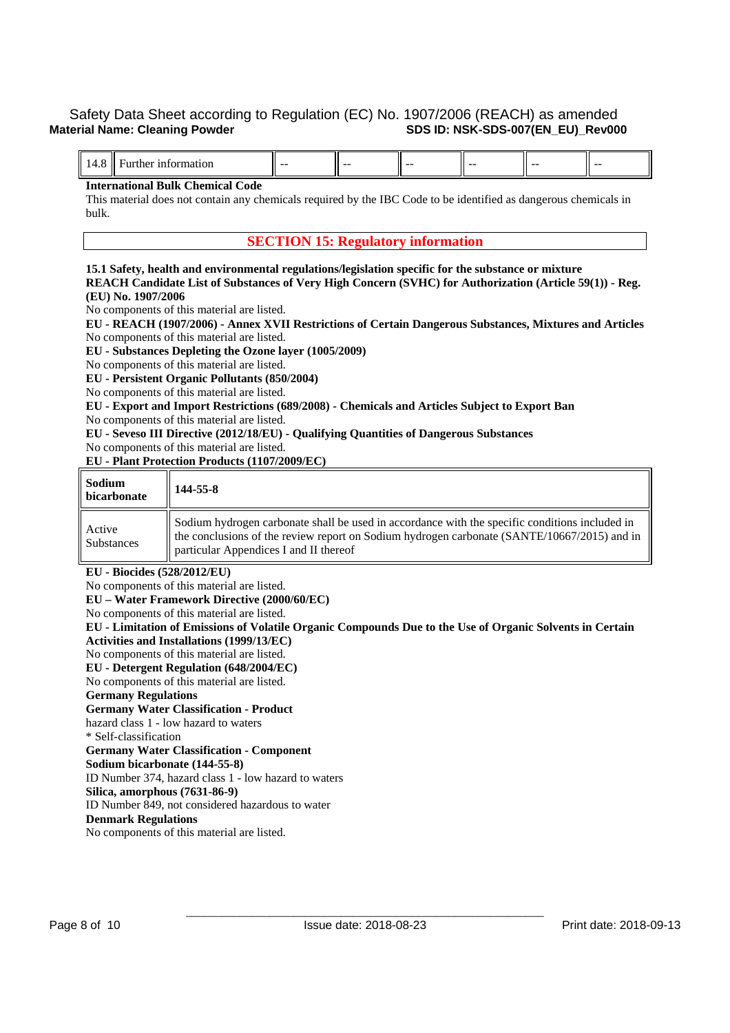| . . | $- -$ | --- | $- -$ | $- -$ | --- | -- |
|-----|-------|-----|-------|-------|-----|----|
|     |       |     |       |       |     |    |

### **International Bulk Chemical Code**

This material does not contain any chemicals required by the IBC Code to be identified as dangerous chemicals in bulk.

### **SECTION 15: Regulatory information**

**15.1 Safety, health and environmental regulations/legislation specific for the substance or mixture REACH Candidate List of Substances of Very High Concern (SVHC) for Authorization (Article 59(1)) - Reg. (EU) No. 1907/2006** 

No components of this material are listed.

**EU - REACH (1907/2006) - Annex XVII Restrictions of Certain Dangerous Substances, Mixtures and Articles**  No components of this material are listed.

**EU - Substances Depleting the Ozone layer (1005/2009)** 

No components of this material are listed.

**EU - Persistent Organic Pollutants (850/2004)** 

No components of this material are listed.

**EU - Export and Import Restrictions (689/2008) - Chemicals and Articles Subject to Export Ban** 

No components of this material are listed.

**EU - Seveso III Directive (2012/18/EU) - Qualifying Quantities of Dangerous Substances** 

No components of this material are listed.

**EU - Plant Protection Products (1107/2009/EC)** 

| Sodium<br>bicarbonate       | 144-55-8                                                                                                                                                                                                                                |
|-----------------------------|-----------------------------------------------------------------------------------------------------------------------------------------------------------------------------------------------------------------------------------------|
| Active<br><b>Substances</b> | Sodium hydrogen carbonate shall be used in accordance with the specific conditions included in<br>the conclusions of the review report on Sodium hydrogen carbonate (SANTE/10667/2015) and in<br>particular Appendices I and II thereof |

**EU - Biocides (528/2012/EU)** 

No components of this material are listed.

**EU – Water Framework Directive (2000/60/EC)** 

No components of this material are listed.

**EU - Limitation of Emissions of Volatile Organic Compounds Due to the Use of Organic Solvents in Certain Activities and Installations (1999/13/EC)** 

No components of this material are listed.

**EU - Detergent Regulation (648/2004/EC)**  No components of this material are listed.

**Germany Regulations** 

**Germany Water Classification - Product**  hazard class 1 - low hazard to waters

\* Self-classification

**Germany Water Classification - Component** 

**Sodium bicarbonate (144-55-8)**

ID Number 374, hazard class 1 - low hazard to waters

**Silica, amorphous (7631-86-9)**

ID Number 849, not considered hazardous to water

### **Denmark Regulations**

No components of this material are listed.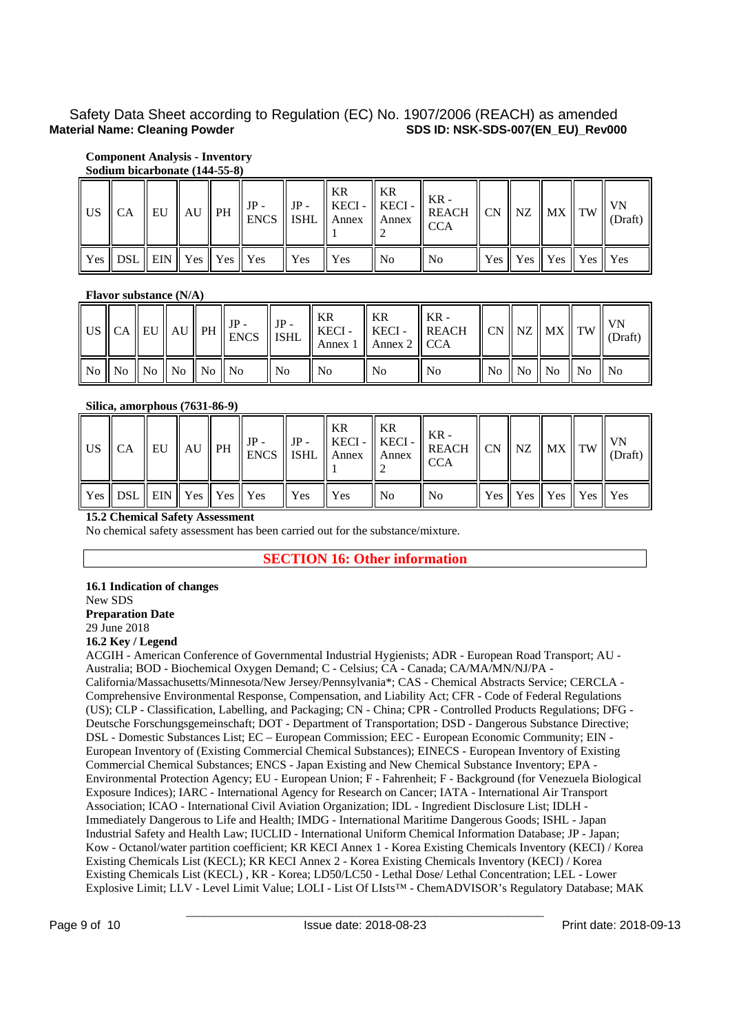# **Component Analysis - Inventory**

## **Sodium bicarbonate (144-55-8)**

|                                        |  | $JP -$ |                 | KR     | $\parallel$ KR | $\  \text{ JP} - \ \text{KECI} - \ \text{KECI} - \ \text{KECI} - \ \text{KEACH}\ _{\text{CN}} \ \text{NZ} \ \text{MX} \ \text{TW}\ \text{VN} \tag{Draft}$<br>$\parallel$ US $\parallel$ CA $\parallel$ EU $\parallel$ AU $\parallel$ PH $\parallel$ SNCS $\parallel$ ISHL $\parallel$ Annex $\parallel$ Annex $\parallel$ CCA |  |                                 |  |
|----------------------------------------|--|--------|-----------------|--------|----------------|-------------------------------------------------------------------------------------------------------------------------------------------------------------------------------------------------------------------------------------------------------------------------------------------------------------------------------|--|---------------------------------|--|
| Yes    DSL    EIN    Yes    Yes    Yes |  |        | $\parallel$ Yes | Il Yes | ll No          | ll No                                                                                                                                                                                                                                                                                                                         |  | Yes    Yes    Yes    Yes    Yes |  |

### **Flavor substance (N/A)**

|  |                                  | $\int$ <sup>1</sup> US $\parallel$ CA $\parallel$ EU $\parallel$ AU $\parallel$ PH $\parallel$ IP - $\parallel$ IP - ISHL $\parallel$ |                | II KR<br>KECI-<br>$\parallel$ Annex 1 $\parallel$ Annex 2 $\parallel$ CCA | I KR<br>$KECI -$ | 1 KR -<br>REACH $\ $ CN $\ $ NZ $\ $ MX $\ $ TW $\ $ |  |                                                                            | VN<br>(Draft) |
|--|----------------------------------|---------------------------------------------------------------------------------------------------------------------------------------|----------------|---------------------------------------------------------------------------|------------------|------------------------------------------------------|--|----------------------------------------------------------------------------|---------------|
|  | No    No    No    No    No    No |                                                                                                                                       | $\parallel$ No | ll No                                                                     | N <sub>o</sub>   | No                                                   |  | $\parallel$ No $\parallel$ No $\parallel$ No $\parallel$ No $\parallel$ No |               |

### **Silica, amorphous (7631-86-9)**

| $US$ $CA$ |  |  |                                                                                                                                 | KR | KR    | $\therefore$ $\parallel$ EU $\parallel$ AU $\parallel$ PH $\parallel$ JP - $\parallel$ SHL $\parallel$ Annex $\parallel$ Annex $\parallel$ SHL $\parallel$ CCA |  |                                                             |  |
|-----------|--|--|---------------------------------------------------------------------------------------------------------------------------------|----|-------|----------------------------------------------------------------------------------------------------------------------------------------------------------------|--|-------------------------------------------------------------|--|
|           |  |  | $\parallel$ Yes $\parallel$ DSL $\parallel$ EIN $\parallel$ Yes $\parallel$ Yes $\parallel$ Yes $\parallel$ Yes $\parallel$ Yes |    | 'l No | ll No                                                                                                                                                          |  | $\vert$ Yes $\vert$ Yes $\vert$ Yes $\vert$ Yes $\vert$ Yes |  |

## **15.2 Chemical Safety Assessment**

No chemical safety assessment has been carried out for the substance/mixture.

**SECTION 16: Other information** 

### **16.1 Indication of changes**  New SDS **Preparation Date**  29 June 2018

## **16.2 Key / Legend**

ACGIH - American Conference of Governmental Industrial Hygienists; ADR - European Road Transport; AU - Australia; BOD - Biochemical Oxygen Demand; C - Celsius; CA - Canada; CA/MA/MN/NJ/PA - California/Massachusetts/Minnesota/New Jersey/Pennsylvania\*; CAS - Chemical Abstracts Service; CERCLA - Comprehensive Environmental Response, Compensation, and Liability Act; CFR - Code of Federal Regulations (US); CLP - Classification, Labelling, and Packaging; CN - China; CPR - Controlled Products Regulations; DFG - Deutsche Forschungsgemeinschaft; DOT - Department of Transportation; DSD - Dangerous Substance Directive; DSL - Domestic Substances List; EC – European Commission; EEC - European Economic Community; EIN - European Inventory of (Existing Commercial Chemical Substances); EINECS - European Inventory of Existing Commercial Chemical Substances; ENCS - Japan Existing and New Chemical Substance Inventory; EPA - Environmental Protection Agency; EU - European Union; F - Fahrenheit; F - Background (for Venezuela Biological Exposure Indices); IARC - International Agency for Research on Cancer; IATA - International Air Transport Association; ICAO - International Civil Aviation Organization; IDL - Ingredient Disclosure List; IDLH - Immediately Dangerous to Life and Health; IMDG - International Maritime Dangerous Goods; ISHL - Japan Industrial Safety and Health Law; IUCLID - International Uniform Chemical Information Database; JP - Japan; Kow - Octanol/water partition coefficient; KR KECI Annex 1 - Korea Existing Chemicals Inventory (KECI) / Korea Existing Chemicals List (KECL); KR KECI Annex 2 - Korea Existing Chemicals Inventory (KECI) / Korea Existing Chemicals List (KECL) , KR - Korea; LD50/LC50 - Lethal Dose/ Lethal Concentration; LEL - Lower Explosive Limit; LLV - Level Limit Value; LOLI - List Of LIsts™ - ChemADVISOR's Regulatory Database; MAK